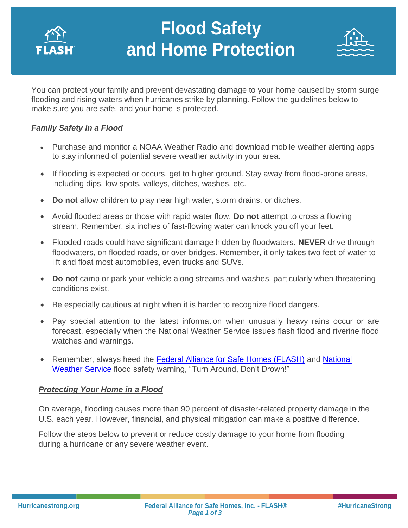

# **Flood Safety and Home Protection**



You can protect your family and prevent devastating damage to your home caused by storm surge flooding and rising waters when hurricanes strike by planning. Follow the guidelines below to make sure you are safe, and your home is protected.

### *Family Safety in a Flood*

- Purchase and monitor a NOAA Weather Radio and download mobile weather alerting apps to stay informed of potential severe weather activity in your area.
- If flooding is expected or occurs, get to higher ground. Stay away from flood-prone areas, including dips, low spots, valleys, ditches, washes, etc.
- **Do not** allow children to play near high water, storm drains, or ditches.
- Avoid flooded areas or those with rapid water flow. **Do not** attempt to cross a flowing stream. Remember, six inches of fast-flowing water can knock you off your feet.
- Flooded roads could have significant damage hidden by floodwaters. **NEVER** drive through floodwaters, on flooded roads, or over bridges. Remember, it only takes two feet of water to lift and float most automobiles, even trucks and SUVs.
- **Do not** camp or park your vehicle along streams and washes, particularly when threatening conditions exist.
- Be especially cautious at night when it is harder to recognize flood dangers.
- Pay special attention to the latest information when unusually heavy rains occur or are forecast, especially when the National Weather Service issues flash flood and riverine flood watches and warnings.
- Remember, always heed the **Federal Alliance for Safe Homes (FLASH)** and [National](http://www.weather.gov/) [Weather Service](http://www.weather.gov/) flood safety warning, "Turn Around, Don't Drown!"

### *Protecting Your Home in a Flood*

On average, flooding causes more than 90 percent of disaster-related property damage in the U.S. each year. However, financial, and physical mitigation can make a positive difference.

Follow the steps below to prevent or reduce costly damage to your home from flooding during a hurricane or any severe weather event.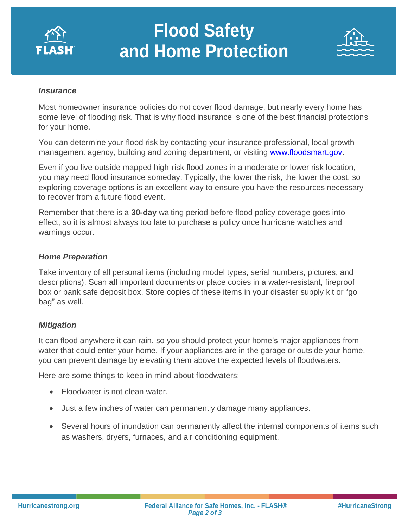

# **Flood Safety and Home Protection**



#### *Insurance*

Most homeowner insurance policies do not cover flood damage, but nearly every home has some level of flooding risk. That is why flood insurance is one of the best financial protections for your home.

You can determine your flood risk by contacting your insurance professional, local growth management agency, building and zoning department, or visiting [www.floodsmart.gov.](http://www.floodsmart.gov/)

Even if you live outside mapped high-risk flood zones in a moderate or lower risk location, you may need flood insurance someday. Typically, the lower the risk, the lower the cost, so exploring coverage options is an excellent way to ensure you have the resources necessary to recover from a future flood event.

Remember that there is a **30-day** waiting period before flood policy coverage goes into effect, so it is almost always too late to purchase a policy once hurricane watches and warnings occur.

#### *Home Preparation*

Take inventory of all personal items (including model types, serial numbers, pictures, and descriptions). Scan **all** important documents or place copies in a water-resistant, fireproof box or bank safe deposit box. Store copies of these items in your disaster supply kit or "go bag" as well.

### *Mitigation*

It can flood anywhere it can rain, so you should protect your home's major appliances from water that could enter your home. If your appliances are in the garage or outside your home, you can prevent damage by elevating them above the expected levels of floodwaters.

Here are some things to keep in mind about floodwaters:

- Floodwater is not clean water.
- Just a few inches of water can permanently damage many appliances.
- Several hours of inundation can permanently affect the internal components of items such as washers, dryers, furnaces, and air conditioning equipment.